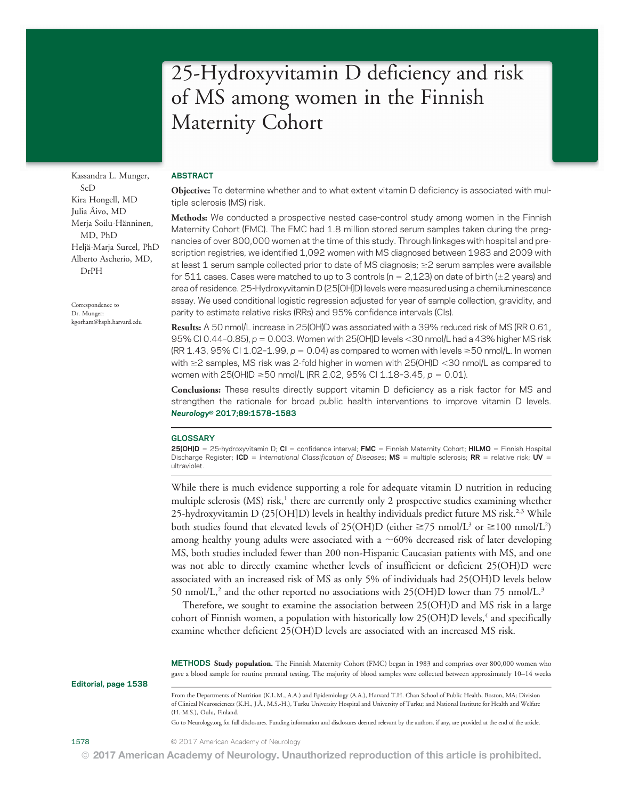# 25-Hydroxyvitamin D deficiency and risk of MS among women in the Finnish Maternity Cohort

Kassandra L. Munger, ScD Kira Hongell, MD Julia Åivo, MD Merja Soilu-Hänninen, MD, PhD Heljä-Marja Surcel, PhD Alberto Ascherio, MD, DrPH

Correspondence to Dr. Munger: [kgorham@hsph.harvard.edu](mailto:kgorham@hsph.harvard.edu)

### ABSTRACT

Objective: To determine whether and to what extent vitamin D deficiency is associated with multiple sclerosis (MS) risk.

Methods: We conducted a prospective nested case-control study among women in the Finnish Maternity Cohort (FMC). The FMC had 1.8 million stored serum samples taken during the pregnancies of over 800,000 women at the time of this study. Through linkages with hospital and prescription registries, we identified 1,092 women with MS diagnosed between 1983 and 2009 with at least 1 serum sample collected prior to date of MS diagnosis;  $\geq$  2 serum samples were available for 511 cases. Cases were matched to up to 3 controls ( $n = 2,123$ ) on date of birth ( $\pm 2$  years) and area of residence. 25-Hydroxyvitamin D (25[OH]D) levels were measured using a chemiluminescence assay. We used conditional logistic regression adjusted for year of sample collection, gravidity, and parity to estimate relative risks (RRs) and 95% confidence intervals (CIs).

Results: A 50 nmol/L increase in 25(OH)D was associated with a 39% reduced risk of MS (RR 0.61, 95% CI 0.44-0.85),  $p = 0.003$ . Women with 25(OH)D levels < 30 nmol/L had a 43% higher MS risk  $(RR\ 1.43, 95\% \text{ C}11.02-1.99, p = 0.04)$  as compared to women with levels  $\geq 50$  nmol/L. In women with  $\geq$  2 samples, MS risk was 2-fold higher in women with 25(OH)D < 30 nmol/L as compared to women with  $25(OH)D \ge 50$  nmol/L (RR 2.02, 95% CI 1.18-3.45, p = 0.01).

Conclusions: These results directly support vitamin D deficiency as a risk factor for MS and strengthen the rationale for broad public health interventions to improve vitamin D levels. Neurology® 2017;89:1578–<sup>1583</sup>

#### GLOSSARY

25(OH)D = 25-hydroxyvitamin D; CI = confidence interval; FMC = Finnish Maternity Cohort; HILMO = Finnish Hospital Discharge Register; ICD = International Classification of Diseases; MS = multiple sclerosis; RR = relative risk; UV = ultraviolet.

While there is much evidence supporting a role for adequate vitamin D nutrition in reducing multiple sclerosis  $(MS)$  risk,<sup>1</sup> there are currently only 2 prospective studies examining whether 25-hydroxyvitamin D (25[OH]D) levels in healthy individuals predict future MS risk.<sup>2,3</sup> While both studies found that elevated levels of 25(OH)D (either  $\geq$ 75 nmol/L<sup>3</sup> or  $\geq$ 100 nmol/L<sup>2</sup>) among healthy young adults were associated with a  $~60\%$  decreased risk of later developing MS, both studies included fewer than 200 non-Hispanic Caucasian patients with MS, and one was not able to directly examine whether levels of insufficient or deficient 25(OH)D were associated with an increased risk of MS as only 5% of individuals had 25(OH)D levels below 50 nmol/L,<sup>2</sup> and the other reported no associations with  $25(OH)D$  lower than 75 nmol/L.<sup>3</sup>

Therefore, we sought to examine the association between 25(OH)D and MS risk in a large cohort of Finnish women, a population with historically low  $25(OH)D$  levels,<sup>4</sup> and specifically examine whether deficient 25(OH)D levels are associated with an increased MS risk.

METHODS Study population. The Finnish Maternity Cohort (FMC) began in 1983 and comprises over 800,000 women who gave a blood sample for routine prenatal testing. The majority of blood samples were collected between approximately 10–14 weeks

Editorial, page 1538

From the Departments of Nutrition (K.L.M., A.A.) and Epidemiology (A.A.), Harvard T.H. Chan School of Public Health, Boston, MA; Division of Clinical Neurosciences (K.H., J.Å., M.S.-H.), Turku University Hospital and University of Turku; and National Institute for Health and Welfare (H.-M.S.), Oulu, Finland.

Go to [Neurology.org](http://neurology.org/lookup/doi/10.1212/WNL.0000000000004489) for full disclosures. Funding information and disclosures deemed relevant by the authors, if any, are provided at the end of the article.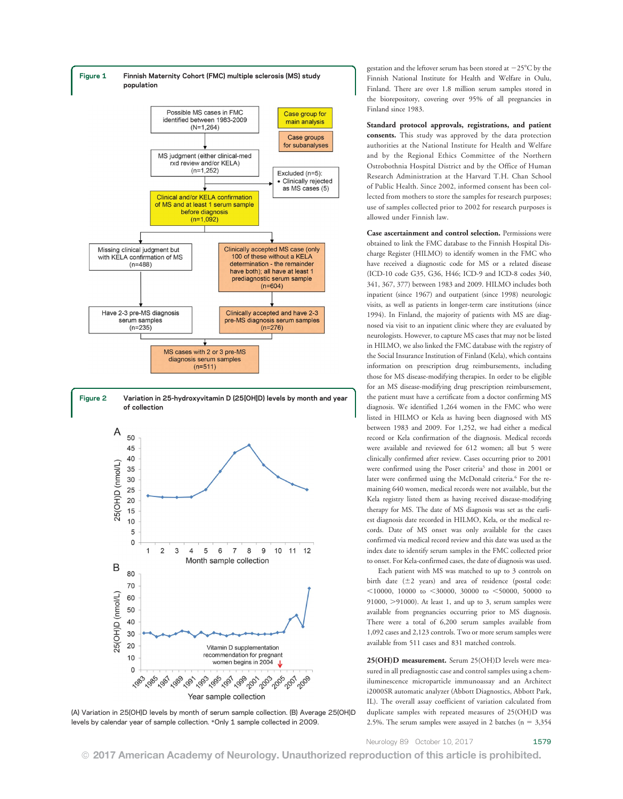

levels by calendar year of sample collection. \*Only 1 sample collected in 2009.

gestation and the leftover serum has been stored at  $-25^{\circ}$ C by the Finnish National Institute for Health and Welfare in Oulu, Finland. There are over 1.8 million serum samples stored in the biorepository, covering over 95% of all pregnancies in Finland since 1983.

Standard protocol approvals, registrations, and patient consents. This study was approved by the data protection authorities at the National Institute for Health and Welfare and by the Regional Ethics Committee of the Northern Ostrobothnia Hospital District and by the Office of Human Research Administration at the Harvard T.H. Chan School of Public Health. Since 2002, informed consent has been collected from mothers to store the samples for research purposes; use of samples collected prior to 2002 for research purposes is allowed under Finnish law.

Case ascertainment and control selection. Permissions were obtained to link the FMC database to the Finnish Hospital Discharge Register (HILMO) to identify women in the FMC who have received a diagnostic code for MS or a related disease (ICD-10 code G35, G36, H46; ICD-9 and ICD-8 codes 340, 341, 367, 377) between 1983 and 2009. HILMO includes both inpatient (since 1967) and outpatient (since 1998) neurologic visits, as well as patients in longer-term care institutions (since 1994). In Finland, the majority of patients with MS are diagnosed via visit to an inpatient clinic where they are evaluated by neurologists. However, to capture MS cases that may not be listed in HILMO, we also linked the FMC database with the registry of the Social Insurance Institution of Finland (Kela), which contains information on prescription drug reimbursements, including those for MS disease-modifying therapies. In order to be eligible for an MS disease-modifying drug prescription reimbursement, the patient must have a certificate from a doctor confirming MS diagnosis. We identified 1,264 women in the FMC who were listed in HILMO or Kela as having been diagnosed with MS between 1983 and 2009. For 1,252, we had either a medical record or Kela confirmation of the diagnosis. Medical records were available and reviewed for 612 women; all but 5 were clinically confirmed after review. Cases occurring prior to 2001 were confirmed using the Poser criteria<sup>5</sup> and those in 2001 or later were confirmed using the McDonald criteria.<sup>6</sup> For the remaining 640 women, medical records were not available, but the Kela registry listed them as having received disease-modifying therapy for MS. The date of MS diagnosis was set as the earliest diagnosis date recorded in HILMO, Kela, or the medical records. Date of MS onset was only available for the cases confirmed via medical record review and this date was used as the index date to identify serum samples in the FMC collected prior to onset. For Kela-confirmed cases, the date of diagnosis was used.

Each patient with MS was matched to up to 3 controls on birth date  $(\pm 2$  years) and area of residence (postal code:  $<$ 10000, 10000 to  $<$ 30000, 30000 to  $<$ 50000, 50000 to 91000,  $>$ 91000). At least 1, and up to 3, serum samples were available from pregnancies occurring prior to MS diagnosis. There were a total of 6,200 serum samples available from 1,092 cases and 2,123 controls. Two or more serum samples were available from 511 cases and 831 matched controls.

25(OH)D measurement. Serum 25(OH)D levels were measured in all prediagnostic case and control samples using a chemiluminescence microparticle immunoassay and an Architect i2000SR automatic analyzer (Abbott Diagnostics, Abbott Park, IL). The overall assay coefficient of variation calculated from duplicate samples with repeated measures of 25(OH)D was 2.5%. The serum samples were assayed in 2 batches ( $n = 3,354$ )

Neurology 89 October 10, 2017 1579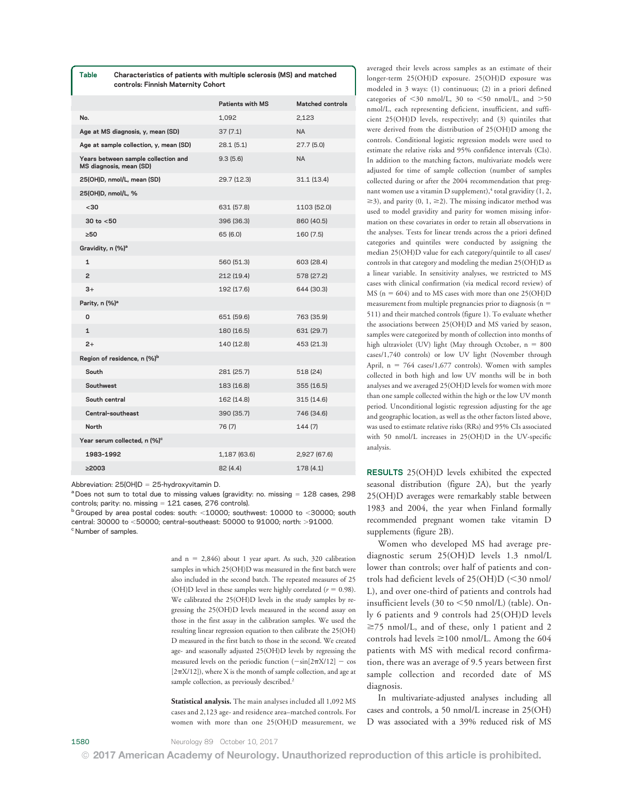|                                          | Table                                                          | Characteristics of patients with multiple sclerosis (MS) and matched<br>controls: Finnish Maternity Cohort |                         |                         |
|------------------------------------------|----------------------------------------------------------------|------------------------------------------------------------------------------------------------------------|-------------------------|-------------------------|
|                                          |                                                                |                                                                                                            | <b>Patients with MS</b> | <b>Matched controls</b> |
|                                          | No.                                                            |                                                                                                            | 1,092                   | 2,123                   |
|                                          | Age at MS diagnosis, y, mean (SD)                              |                                                                                                            | 37(7.1)                 | <b>NA</b>               |
|                                          | Age at sample collection, y, mean (SD)                         |                                                                                                            | 28.1 (5.1)              | 27.7(5.0)               |
|                                          | Years between sample collection and<br>MS diagnosis, mean (SD) |                                                                                                            | 9.3(5.6)                | <b>NA</b>               |
|                                          |                                                                | 25(OH)D, nmol/L, mean (SD)                                                                                 | 29.7 (12.3)             | 31.1 (13.4)             |
| 25(OH)D, nmol/L, %                       |                                                                |                                                                                                            |                         |                         |
|                                          | $30$                                                           |                                                                                                            | 631 (57.8)              | 1103 (52.0)             |
|                                          | 30 to $< 50$                                                   |                                                                                                            | 396 (36.3)              | 860 (40.5)              |
|                                          | >50                                                            |                                                                                                            | 65 (6.0)                | 160 (7.5)               |
| Gravidity, n (%) <sup>a</sup>            |                                                                |                                                                                                            |                         |                         |
|                                          | 1                                                              |                                                                                                            | 560 (51.3)              | 603 (28.4)              |
|                                          | $\overline{2}$                                                 |                                                                                                            | 212 (19.4)              | 578 (27.2)              |
|                                          | $3+$                                                           |                                                                                                            | 192 (17.6)              | 644 (30.3)              |
| Parity, n (%) <sup>a</sup>               |                                                                |                                                                                                            |                         |                         |
|                                          | 0                                                              |                                                                                                            | 651 (59.6)              | 763 (35.9)              |
|                                          | $\mathbf{1}$                                                   |                                                                                                            | 180 (16.5)              | 631 (29.7)              |
|                                          | $2+$                                                           |                                                                                                            | 140 (12.8)              | 453 (21.3)              |
| Region of residence, n (%) <sup>b</sup>  |                                                                |                                                                                                            |                         |                         |
|                                          | South                                                          |                                                                                                            | 281 (25.7)              | 518 (24)                |
|                                          | Southwest                                                      |                                                                                                            | 183 (16.8)              | 355 (16.5)              |
|                                          | South central                                                  |                                                                                                            | 162 (14.8)              | 315 (14.6)              |
|                                          |                                                                | Central-southeast                                                                                          | 390 (35.7)              | 746 (34.6)              |
|                                          | <b>North</b>                                                   |                                                                                                            | 76 (7)                  | 144 (7)                 |
| Year serum collected, n (%) <sup>c</sup> |                                                                |                                                                                                            |                         |                         |
|                                          | 1983-1992                                                      |                                                                                                            | 1,187 (63.6)            | 2,927 (67.6)            |
|                                          |                                                                |                                                                                                            |                         |                         |

Abbreviation:  $25(OH)D = 25-hydroxyvitamin D$ .

 $a$  Does not sum to total due to missing values (gravidity: no. missing  $= 128$  cases, 298 controls; parity: no. missing  $= 121$  cases, 276 controls).

 $\geq$ 2003 82 (4.4) 178 (4.1)

 $b$  Grouped by area postal codes: south: <10000; southwest: 10000 to <30000; south central: 30000 to <50000; central-southeast: 50000 to 91000; north: >91000. <sup>c</sup> Number of samples.

> and  $n = 2,846$ ) about 1 year apart. As such, 320 calibration samples in which 25(OH)D was measured in the first batch were also included in the second batch. The repeated measures of 25 (OH)D level in these samples were highly correlated ( $r = 0.98$ ). We calibrated the 25(OH)D levels in the study samples by regressing the 25(OH)D levels measured in the second assay on those in the first assay in the calibration samples. We used the resulting linear regression equation to then calibrate the 25(OH) D measured in the first batch to those in the second. We created age- and seasonally adjusted 25(OH)D levels by regressing the measured levels on the periodic function  $(-\sin[2\pi X/12] - \cos$  $[2\pi X/12]$ ), where X is the month of sample collection, and age at sample collection, as previously described.<sup>2</sup>

> Statistical analysis. The main analyses included all 1,092 MS cases and 2,123 age- and residence area–matched controls. For women with more than one 25(OH)D measurement, we

averaged their levels across samples as an estimate of their longer-term 25(OH)D exposure. 25(OH)D exposure was modeled in 3 ways: (1) continuous; (2) in a priori defined categories of  $\leq$ 30 nmol/L, 30 to  $\leq$ 50 nmol/L, and  $>$ 50 nmol/L, each representing deficient, insufficient, and sufficient 25(OH)D levels, respectively; and (3) quintiles that were derived from the distribution of 25(OH)D among the controls. Conditional logistic regression models were used to estimate the relative risks and 95% confidence intervals (CIs). In addition to the matching factors, multivariate models were adjusted for time of sample collection (number of samples collected during or after the 2004 recommendation that pregnant women use a vitamin D supplement), $4$  total gravidity (1, 2,  $\geq$ 3), and parity (0, 1,  $\geq$ 2). The missing indicator method was used to model gravidity and parity for women missing information on these covariates in order to retain all observations in the analyses. Tests for linear trends across the a priori defined categories and quintiles were conducted by assigning the median 25(OH)D value for each category/quintile to all cases/ controls in that category and modeling the median 25(OH)D as a linear variable. In sensitivity analyses, we restricted to MS cases with clinical confirmation (via medical record review) of MS ( $n = 604$ ) and to MS cases with more than one 25(OH)D measurement from multiple pregnancies prior to diagnosis ( $n =$ 511) and their matched controls (figure 1). To evaluate whether the associations between 25(OH)D and MS varied by season, samples were categorized by month of collection into months of high ultraviolet (UV) light (May through October,  $n = 800$ cases/1,740 controls) or low UV light (November through April,  $n = 764$  cases/1,677 controls). Women with samples collected in both high and low UV months will be in both analyses and we averaged 25(OH)D levels for women with more than one sample collected within the high or the low UV month period. Unconditional logistic regression adjusting for the age and geographic location, as well as the other factors listed above, was used to estimate relative risks (RRs) and 95% CIs associated with 50 nmol/L increases in 25(OH)D in the UV-specific analysis.

RESULTS 25(OH)D levels exhibited the expected seasonal distribution (figure 2A), but the yearly 25(OH)D averages were remarkably stable between 1983 and 2004, the year when Finland formally recommended pregnant women take vitamin D supplements (figure 2B).

Women who developed MS had average prediagnostic serum 25(OH)D levels 1.3 nmol/L lower than controls; over half of patients and controls had deficient levels of  $25(OH)D \leq 30$  nmol/ L), and over one-third of patients and controls had insufficient levels  $(30 \text{ to } < 50 \text{ nmol/L})$  (table). Only 6 patients and 9 controls had 25(OH)D levels  $\geq$ 75 nmol/L, and of these, only 1 patient and 2 controls had levels  $\geq$ 100 nmol/L. Among the 604 patients with MS with medical record confirmation, there was an average of 9.5 years between first sample collection and recorded date of MS diagnosis.

In multivariate-adjusted analyses including all cases and controls, a 50 nmol/L increase in 25(OH) D was associated with a 39% reduced risk of MS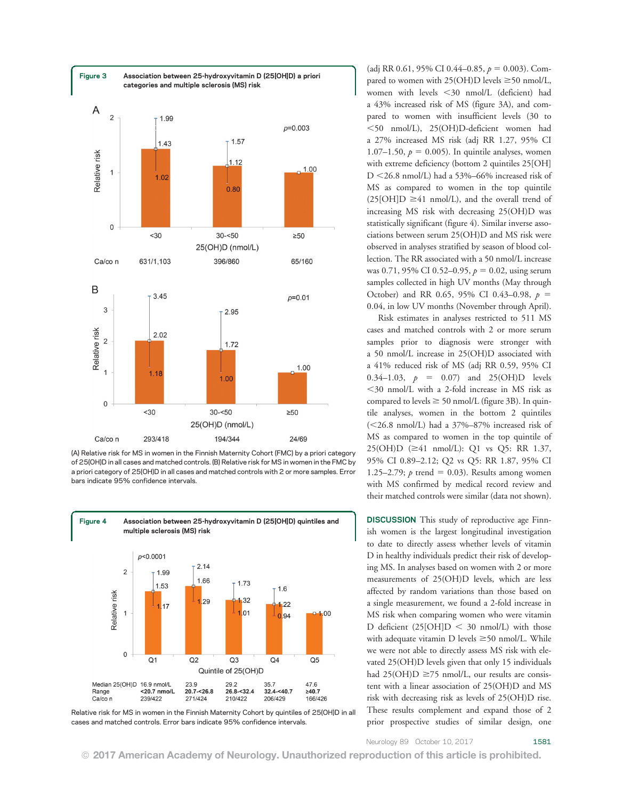

(A) Relative risk for MS in women in the Finnish Maternity Cohort (FMC) by a priori category of 25(OH)D in all cases and matched controls. (B) Relative risk for MS in women in the FMC by a priori category of 25(OH)D in all cases and matched controls with 2 or more samples. Error bars indicate 95% confidence intervals.



Relative risk for MS in women in the Finnish Maternity Cohort by quintiles of 25(OH)D in all cases and matched controls. Error bars indicate 95% confidence intervals.

(adj RR 0.61, 95% CI 0.44–0.85,  $p = 0.003$ ). Compared to women with  $25(OH)D$  levels  $\geq 50$  nmol/L, women with levels  $\leq$ 30 nmol/L (deficient) had a 43% increased risk of MS (figure 3A), and compared to women with insufficient levels (30 to  $<$ 50 nmol/L), 25(OH)D-deficient women had a 27% increased MS risk (adj RR 1.27, 95% CI 1.07–1.50,  $p = 0.005$ ). In quintile analyses, women with extreme deficiency (bottom 2 quintiles 25[OH] D  $\leq$ 26.8 nmol/L) had a 53%–66% increased risk of MS as compared to women in the top quintile  $(25[OH]D \ge 41$  nmol/L), and the overall trend of increasing MS risk with decreasing 25(OH)D was statistically significant (figure 4). Similar inverse associations between serum 25(OH)D and MS risk were observed in analyses stratified by season of blood collection. The RR associated with a 50 nmol/L increase was 0.71, 95% CI 0.52–0.95,  $p = 0.02$ , using serum samples collected in high UV months (May through October) and RR 0.65, 95% CI 0.43-0.98,  $p =$ 0.04, in low UV months (November through April).

Risk estimates in analyses restricted to 511 MS cases and matched controls with 2 or more serum samples prior to diagnosis were stronger with a 50 nmol/L increase in 25(OH)D associated with a 41% reduced risk of MS (adj RR 0.59, 95% CI 0.34–1.03,  $p = 0.07$  and 25(OH)D levels  $<$ 30 nmol/L with a 2-fold increase in MS risk as compared to levels  $\geq$  50 nmol/L (figure 3B). In quintile analyses, women in the bottom 2 quintiles  $(<26.8$  nmol/L) had a 37%–87% increased risk of MS as compared to women in the top quintile of  $25(OH)D \approx 41 \text{ nmol/L}$ : Q1 vs Q5: RR 1.37, 95% CI 0.89–2.12; Q2 vs Q5: RR 1.87, 95% CI 1.25–2.79;  $p$  trend = 0.03). Results among women with MS confirmed by medical record review and their matched controls were similar (data not shown).

DISCUSSION This study of reproductive age Finnish women is the largest longitudinal investigation to date to directly assess whether levels of vitamin D in healthy individuals predict their risk of developing MS. In analyses based on women with 2 or more measurements of 25(OH)D levels, which are less affected by random variations than those based on a single measurement, we found a 2-fold increase in MS risk when comparing women who were vitamin D deficient  $(25[OH]D < 30$  nmol/L) with those with adequate vitamin D levels  $\geq$  50 nmol/L. While we were not able to directly assess MS risk with elevated 25(OH)D levels given that only 15 individuals had  $25(OH)D \ge 75$  nmol/L, our results are consistent with a linear association of 25(OH)D and MS risk with decreasing risk as levels of 25(OH)D rise. These results complement and expand those of 2 prior prospective studies of similar design, one

Neurology 89 October 10, 2017 1581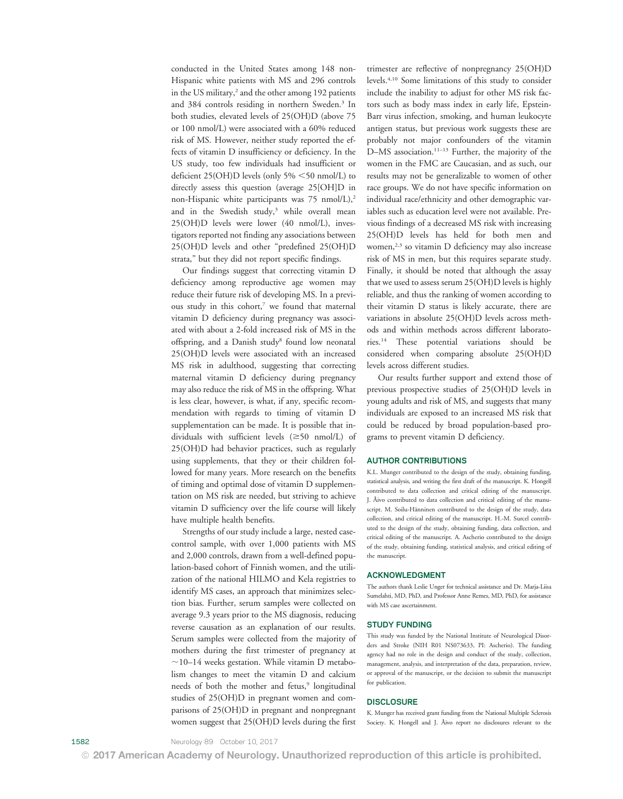conducted in the United States among 148 non-Hispanic white patients with MS and 296 controls in the US military,<sup>2</sup> and the other among 192 patients and 384 controls residing in northern Sweden.3 In both studies, elevated levels of 25(OH)D (above 75 or 100 nmol/L) were associated with a 60% reduced risk of MS. However, neither study reported the effects of vitamin D insufficiency or deficiency. In the US study, too few individuals had insufficient or deficient 25(OH)D levels (only  $5\% \leq 50$  nmol/L) to directly assess this question (average 25[OH]D in non-Hispanic white participants was  $75 \text{ nmol/L}$ ,<sup>2</sup> and in the Swedish study,<sup>3</sup> while overall mean 25(OH)D levels were lower (40 nmol/L), investigators reported not finding any associations between 25(OH)D levels and other "predefined 25(OH)D strata," but they did not report specific findings.

Our findings suggest that correcting vitamin D deficiency among reproductive age women may reduce their future risk of developing MS. In a previous study in this cohort,<sup>7</sup> we found that maternal vitamin D deficiency during pregnancy was associated with about a 2-fold increased risk of MS in the offspring, and a Danish study<sup>8</sup> found low neonatal 25(OH)D levels were associated with an increased MS risk in adulthood, suggesting that correcting maternal vitamin D deficiency during pregnancy may also reduce the risk of MS in the offspring. What is less clear, however, is what, if any, specific recommendation with regards to timing of vitamin D supplementation can be made. It is possible that individuals with sufficient levels  $(\geq 50 \text{ nmol/L})$  of 25(OH)D had behavior practices, such as regularly using supplements, that they or their children followed for many years. More research on the benefits of timing and optimal dose of vitamin D supplementation on MS risk are needed, but striving to achieve vitamin D sufficiency over the life course will likely have multiple health benefits.

Strengths of our study include a large, nested casecontrol sample, with over 1,000 patients with MS and 2,000 controls, drawn from a well-defined population-based cohort of Finnish women, and the utilization of the national HILMO and Kela registries to identify MS cases, an approach that minimizes selection bias. Further, serum samples were collected on average 9.3 years prior to the MS diagnosis, reducing reverse causation as an explanation of our results. Serum samples were collected from the majority of mothers during the first trimester of pregnancy at  $\sim$ 10–14 weeks gestation. While vitamin D metabolism changes to meet the vitamin D and calcium needs of both the mother and fetus,<sup>9</sup> longitudinal studies of 25(OH)D in pregnant women and comparisons of 25(OH)D in pregnant and nonpregnant women suggest that 25(OH)D levels during the first

trimester are reflective of nonpregnancy 25(OH)D levels.4,10 Some limitations of this study to consider include the inability to adjust for other MS risk factors such as body mass index in early life, Epstein-Barr virus infection, smoking, and human leukocyte antigen status, but previous work suggests these are probably not major confounders of the vitamin D–MS association.<sup>11–13</sup> Further, the majority of the women in the FMC are Caucasian, and as such, our results may not be generalizable to women of other race groups. We do not have specific information on individual race/ethnicity and other demographic variables such as education level were not available. Previous findings of a decreased MS risk with increasing 25(OH)D levels has held for both men and women, $2,3$  so vitamin D deficiency may also increase risk of MS in men, but this requires separate study. Finally, it should be noted that although the assay that we used to assess serum 25(OH)D levels is highly reliable, and thus the ranking of women according to their vitamin D status is likely accurate, there are variations in absolute 25(OH)D levels across methods and within methods across different laboratories.14 These potential variations should be considered when comparing absolute 25(OH)D levels across different studies.

Our results further support and extend those of previous prospective studies of 25(OH)D levels in young adults and risk of MS, and suggests that many individuals are exposed to an increased MS risk that could be reduced by broad population-based programs to prevent vitamin D deficiency.

#### AUTHOR CONTRIBUTIONS

K.L. Munger contributed to the design of the study, obtaining funding, statistical analysis, and writing the first draft of the manuscript. K. Hongell contributed to data collection and critical editing of the manuscript. J. Åivo contributed to data collection and critical editing of the manuscript. M. Soilu-Hänninen contributed to the design of the study, data collection, and critical editing of the manuscript. H.-M. Surcel contributed to the design of the study, obtaining funding, data collection, and critical editing of the manuscript. A. Ascherio contributed to the design of the study, obtaining funding, statistical analysis, and critical editing of the manuscript.

#### ACKNOWLEDGMENT

The authors thank Leslie Unger for technical assistance and Dr. Marja-Liisa Sumelahti, MD, PhD, and Professor Anne Remes, MD, PhD, for assistance with MS case ascertainment.

#### STUDY FUNDING

This study was funded by the National Institute of Neurological Disorders and Stroke (NIH R01 NS073633, PI: Ascherio). The funding agency had no role in the design and conduct of the study, collection, management, analysis, and interpretation of the data, preparation, review, or approval of the manuscript, or the decision to submit the manuscript for publication.

#### **DISCLOSURE**

K. Munger has received grant funding from the National Multiple Sclerosis Society. K. Hongell and J. Åivo report no disclosures relevant to the